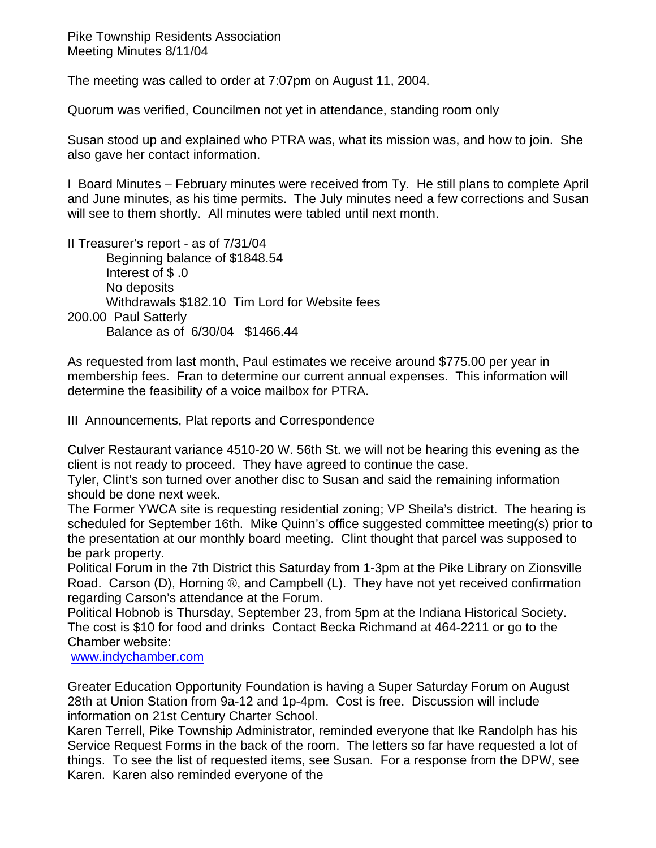Pike Township Residents Association Meeting Minutes 8/11/04

The meeting was called to order at 7:07pm on August 11, 2004.

Quorum was verified, Councilmen not yet in attendance, standing room only

Susan stood up and explained who PTRA was, what its mission was, and how to join. She also gave her contact information.

I Board Minutes – February minutes were received from Ty. He still plans to complete April and June minutes, as his time permits. The July minutes need a few corrections and Susan will see to them shortly. All minutes were tabled until next month.

II Treasurer's report - as of 7/31/04 Beginning balance of \$1848.54 Interest of \$ .0 No deposits Withdrawals \$182.10 Tim Lord for Website fees 200.00 Paul Satterly Balance as of 6/30/04 \$1466.44

As requested from last month, Paul estimates we receive around \$775.00 per year in membership fees. Fran to determine our current annual expenses. This information will determine the feasibility of a voice mailbox for PTRA.

III Announcements, Plat reports and Correspondence

Culver Restaurant variance 4510-20 W. 56th St. we will not be hearing this evening as the client is not ready to proceed. They have agreed to continue the case.

Tyler, Clint's son turned over another disc to Susan and said the remaining information should be done next week.

The Former YWCA site is requesting residential zoning; VP Sheila's district. The hearing is scheduled for September 16th. Mike Quinn's office suggested committee meeting(s) prior to the presentation at our monthly board meeting. Clint thought that parcel was supposed to be park property.

Political Forum in the 7th District this Saturday from 1-3pm at the Pike Library on Zionsville Road. Carson (D), Horning ®, and Campbell (L). They have not yet received confirmation regarding Carson's attendance at the Forum.

Political Hobnob is Thursday, September 23, from 5pm at the Indiana Historical Society. The cost is \$10 for food and drinks Contact Becka Richmand at 464-2211 or go to the Chamber website:

www.indychamber.com

Greater Education Opportunity Foundation is having a Super Saturday Forum on August 28th at Union Station from 9a-12 and 1p-4pm. Cost is free. Discussion will include information on 21st Century Charter School.

Karen Terrell, Pike Township Administrator, reminded everyone that Ike Randolph has his Service Request Forms in the back of the room. The letters so far have requested a lot of things. To see the list of requested items, see Susan. For a response from the DPW, see Karen. Karen also reminded everyone of the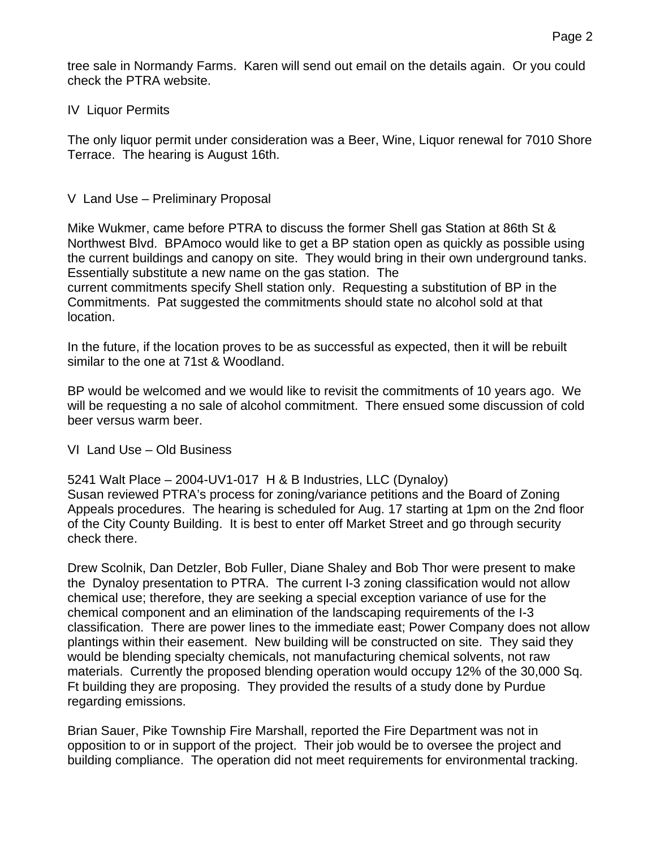tree sale in Normandy Farms. Karen will send out email on the details again. Or you could check the PTRA website.

## IV Liquor Permits

The only liquor permit under consideration was a Beer, Wine, Liquor renewal for 7010 Shore Terrace. The hearing is August 16th.

## V Land Use – Preliminary Proposal

Mike Wukmer, came before PTRA to discuss the former Shell gas Station at 86th St & Northwest Blvd. BPAmoco would like to get a BP station open as quickly as possible using the current buildings and canopy on site. They would bring in their own underground tanks. Essentially substitute a new name on the gas station. The current commitments specify Shell station only. Requesting a substitution of BP in the Commitments. Pat suggested the commitments should state no alcohol sold at that location.

In the future, if the location proves to be as successful as expected, then it will be rebuilt similar to the one at 71st & Woodland.

BP would be welcomed and we would like to revisit the commitments of 10 years ago. We will be requesting a no sale of alcohol commitment. There ensued some discussion of cold beer versus warm beer.

## VI Land Use – Old Business

5241 Walt Place – 2004-UV1-017 H & B Industries, LLC (Dynaloy) Susan reviewed PTRA's process for zoning/variance petitions and the Board of Zoning Appeals procedures. The hearing is scheduled for Aug. 17 starting at 1pm on the 2nd floor of the City County Building. It is best to enter off Market Street and go through security check there.

Drew Scolnik, Dan Detzler, Bob Fuller, Diane Shaley and Bob Thor were present to make the Dynaloy presentation to PTRA. The current I-3 zoning classification would not allow chemical use; therefore, they are seeking a special exception variance of use for the chemical component and an elimination of the landscaping requirements of the I-3 classification. There are power lines to the immediate east; Power Company does not allow plantings within their easement. New building will be constructed on site. They said they would be blending specialty chemicals, not manufacturing chemical solvents, not raw materials. Currently the proposed blending operation would occupy 12% of the 30,000 Sq. Ft building they are proposing. They provided the results of a study done by Purdue regarding emissions.

Brian Sauer, Pike Township Fire Marshall, reported the Fire Department was not in opposition to or in support of the project. Their job would be to oversee the project and building compliance. The operation did not meet requirements for environmental tracking.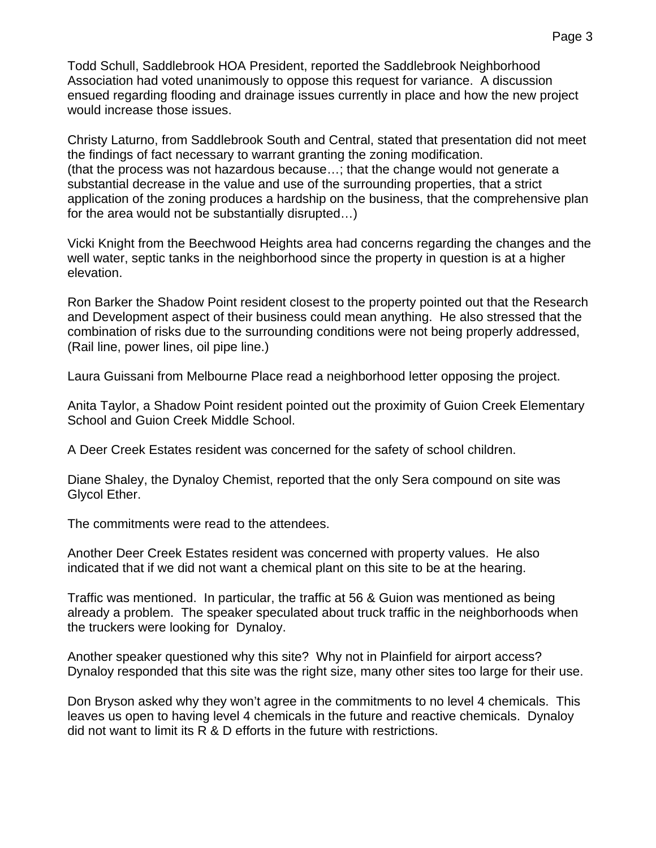Todd Schull, Saddlebrook HOA President, reported the Saddlebrook Neighborhood Association had voted unanimously to oppose this request for variance. A discussion ensued regarding flooding and drainage issues currently in place and how the new project would increase those issues.

Christy Laturno, from Saddlebrook South and Central, stated that presentation did not meet the findings of fact necessary to warrant granting the zoning modification. (that the process was not hazardous because…; that the change would not generate a substantial decrease in the value and use of the surrounding properties, that a strict application of the zoning produces a hardship on the business, that the comprehensive plan for the area would not be substantially disrupted…)

Vicki Knight from the Beechwood Heights area had concerns regarding the changes and the well water, septic tanks in the neighborhood since the property in question is at a higher elevation.

Ron Barker the Shadow Point resident closest to the property pointed out that the Research and Development aspect of their business could mean anything. He also stressed that the combination of risks due to the surrounding conditions were not being properly addressed, (Rail line, power lines, oil pipe line.)

Laura Guissani from Melbourne Place read a neighborhood letter opposing the project.

Anita Taylor, a Shadow Point resident pointed out the proximity of Guion Creek Elementary School and Guion Creek Middle School.

A Deer Creek Estates resident was concerned for the safety of school children.

Diane Shaley, the Dynaloy Chemist, reported that the only Sera compound on site was Glycol Ether.

The commitments were read to the attendees.

Another Deer Creek Estates resident was concerned with property values. He also indicated that if we did not want a chemical plant on this site to be at the hearing.

Traffic was mentioned. In particular, the traffic at 56 & Guion was mentioned as being already a problem. The speaker speculated about truck traffic in the neighborhoods when the truckers were looking for Dynaloy.

Another speaker questioned why this site? Why not in Plainfield for airport access? Dynaloy responded that this site was the right size, many other sites too large for their use.

Don Bryson asked why they won't agree in the commitments to no level 4 chemicals. This leaves us open to having level 4 chemicals in the future and reactive chemicals. Dynaloy did not want to limit its R & D efforts in the future with restrictions.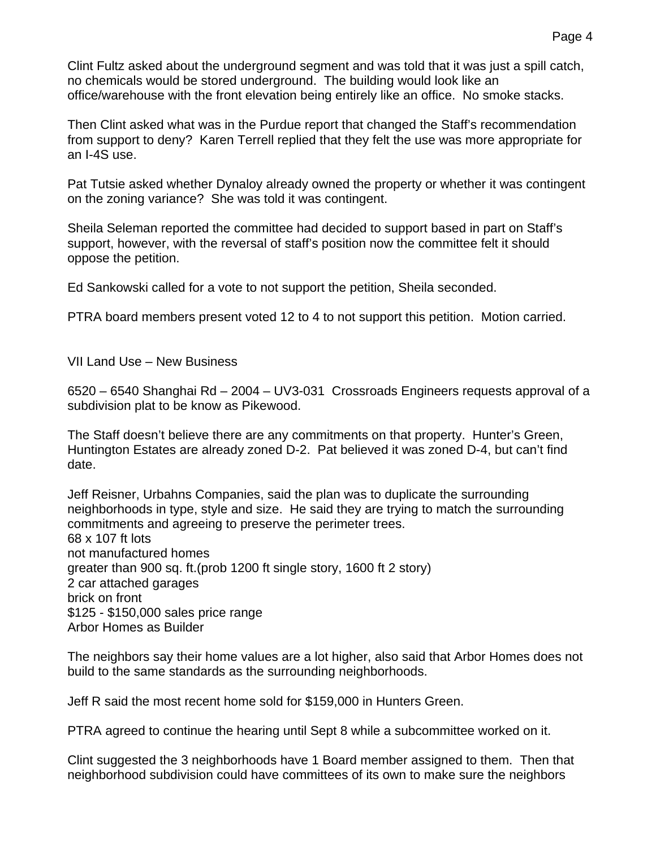Clint Fultz asked about the underground segment and was told that it was just a spill catch, no chemicals would be stored underground. The building would look like an office/warehouse with the front elevation being entirely like an office. No smoke stacks.

Then Clint asked what was in the Purdue report that changed the Staff's recommendation from support to deny? Karen Terrell replied that they felt the use was more appropriate for an I-4S use.

Pat Tutsie asked whether Dynaloy already owned the property or whether it was contingent on the zoning variance? She was told it was contingent.

Sheila Seleman reported the committee had decided to support based in part on Staff's support, however, with the reversal of staff's position now the committee felt it should oppose the petition.

Ed Sankowski called for a vote to not support the petition, Sheila seconded.

PTRA board members present voted 12 to 4 to not support this petition. Motion carried.

VII Land Use – New Business

6520 – 6540 Shanghai Rd – 2004 – UV3-031 Crossroads Engineers requests approval of a subdivision plat to be know as Pikewood.

The Staff doesn't believe there are any commitments on that property. Hunter's Green, Huntington Estates are already zoned D-2. Pat believed it was zoned D-4, but can't find date.

Jeff Reisner, Urbahns Companies, said the plan was to duplicate the surrounding neighborhoods in type, style and size. He said they are trying to match the surrounding commitments and agreeing to preserve the perimeter trees. 68 x 107 ft lots not manufactured homes greater than 900 sq. ft.(prob 1200 ft single story, 1600 ft 2 story) 2 car attached garages brick on front \$125 - \$150,000 sales price range Arbor Homes as Builder

The neighbors say their home values are a lot higher, also said that Arbor Homes does not build to the same standards as the surrounding neighborhoods.

Jeff R said the most recent home sold for \$159,000 in Hunters Green.

PTRA agreed to continue the hearing until Sept 8 while a subcommittee worked on it.

Clint suggested the 3 neighborhoods have 1 Board member assigned to them. Then that neighborhood subdivision could have committees of its own to make sure the neighbors